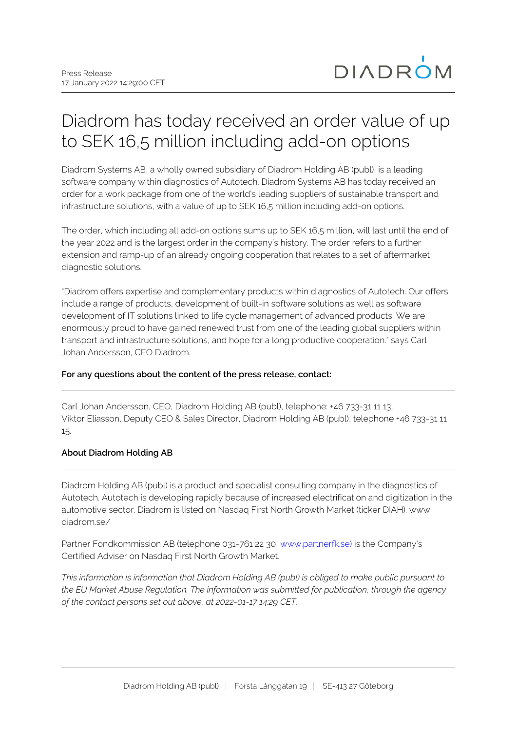## Diadrom has today received an order value of up to SEK 16,5 million including add-on options

Diadrom Systems AB, a wholly owned subsidiary of Diadrom Holding AB (publ), is a leading software company within diagnostics of Autotech. Diadrom Systems AB has today received an order for a work package from one of the world's leading suppliers of sustainable transport and infrastructure solutions, with a value of up to SEK 16,5 million including add-on options.

The order, which including all add-on options sums up to SEK 16,5 million, will last until the end of the year 2022 and is the largest order in the company's history. The order refers to a further extension and ramp-up of an already ongoing cooperation that relates to a set of aftermarket diagnostic solutions.

"Diadrom offers expertise and complementary products within diagnostics of Autotech. Our offers include a range of products, development of built-in software solutions as well as software development of IT solutions linked to life cycle management of advanced products. We are enormously proud to have gained renewed trust from one of the leading global suppliers within transport and infrastructure solutions, and hope for a long productive cooperation." says Carl Johan Andersson, CEO Diadrom.

## **For any questions about the content of the press release, contact:**

Carl Johan Andersson, CEO, Diadrom Holding AB (publ), telephone: +46 733-31 11 13, Viktor Eliasson, Deputy CEO & Sales Director, Diadrom Holding AB (publ), telephone +46 733-31 11 15.

## **About Diadrom Holding AB**

Diadrom Holding AB (publ) is a product and specialist consulting company in the diagnostics of Autotech. Autotech is developing rapidly because of increased electrification and digitization in the automotive sector. Diadrom is listed on Nasdaq First North Growth Market (ticker DIAH). www. diadrom.se/

Partner Fondkommission AB (telephone 031-761 22 30, [www.partnerfk.se\)](http://www.partnerfk.se)) is the Company's Certified Adviser on Nasdaq First North Growth Market.

*This information is information that Diadrom Holding AB (publ) is obliged to make public pursuant to the EU Market Abuse Regulation. The information was submitted for publication, through the agency of the contact persons set out above, at 2022-01-17 14:29 CET.*